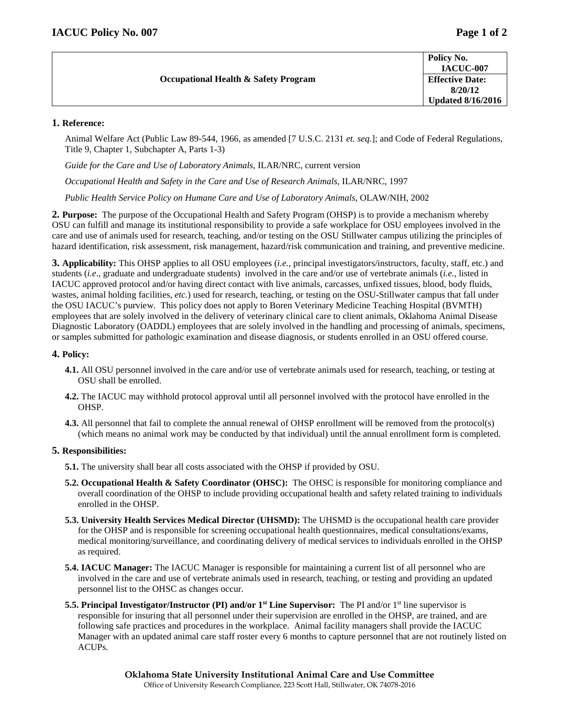| <b>Occupational Health &amp; Safety Program</b> | Policy No.<br><b>IACUC-007</b>    |
|-------------------------------------------------|-----------------------------------|
|                                                 | <b>Effective Date:</b><br>8/20/12 |
|                                                 | <b>Updated 8/16/2016</b>          |

# **1. Reference:**

Animal Welfare Act (Public Law 89-544, 1966, as amended [7 U.S.C. 2131 *et. seq.*]; and Code of Federal Regulations, Title 9, Chapter 1, Subchapter A, Parts 1-3)

*Guide for the Care and Use of Laboratory Animals*, ILAR/NRC, current version

*Occupational Health and Safety in the Care and Use of Research Animals*, ILAR/NRC, 1997

*Public Health Service Policy on Humane Care and Use of Laboratory Animals*, OLAW/NIH, 2002

**2. Purpose:** The purpose of the Occupational Health and Safety Program (OHSP) is to provide a mechanism whereby OSU can fulfill and manage its institutional responsibility to provide a safe workplace for OSU employees involved in the care and use of animals used for research, teaching, and/or testing on the OSU Stillwater campus utilizing the principles of hazard identification, risk assessment, risk management, hazard/risk communication and training, and preventive medicine.

**3. Applicability:** This OHSP applies to all OSU employees (*i.e.*, principal investigators/instructors, faculty, staff, etc.) and students (*i.e*., graduate and undergraduate students) involved in the care and/or use of vertebrate animals (*i.e.*, listed in IACUC approved protocol and/or having direct contact with live animals, carcasses, unfixed tissues, blood, body fluids, wastes, animal holding facilities, *etc.*) used for research, teaching, or testing on the OSU-Stillwater campus that fall under the OSU IACUC's purview. This policy does not apply to Boren Veterinary Medicine Teaching Hospital (BVMTH) employees that are solely involved in the delivery of veterinary clinical care to client animals, Oklahoma Animal Disease Diagnostic Laboratory (OADDL) employees that are solely involved in the handling and processing of animals, specimens, or samples submitted for pathologic examination and disease diagnosis, or students enrolled in an OSU offered course.

# **4. Policy:**

- **4.1.** All OSU personnel involved in the care and/or use of vertebrate animals used for research, teaching, or testing at OSU shall be enrolled.
- **4.2.** The IACUC may withhold protocol approval until all personnel involved with the protocol have enrolled in the OHSP.
- **4.3.** All personnel that fail to complete the annual renewal of OHSP enrollment will be removed from the protocol(s) (which means no animal work may be conducted by that individual) until the annual enrollment form is completed.

# **5. Responsibilities:**

- **5.1.** The university shall bear all costs associated with the OHSP if provided by OSU.
- **5.2. Occupational Health & Safety Coordinator (OHSC):** The OHSC is responsible for monitoring compliance and overall coordination of the OHSP to include providing occupational health and safety related training to individuals enrolled in the OHSP.
- **5.3. University Health Services Medical Director (UHSMD):** The UHSMD is the occupational health care provider for the OHSP and is responsible for screening occupational health questionnaires, medical consultations/exams, medical monitoring/surveillance, and coordinating delivery of medical services to individuals enrolled in the OHSP as required.
- **5.4. IACUC Manager:** The IACUC Manager is responsible for maintaining a current list of all personnel who are involved in the care and use of vertebrate animals used in research, teaching, or testing and providing an updated personnel list to the OHSC as changes occur.
- **5.5. Principal Investigator/Instructor (PI) and/or 1st Line Supervisor:** The PI and/or 1st line supervisor is responsible for insuring that all personnel under their supervision are enrolled in the OHSP, are trained, and are following safe practices and procedures in the workplace. Animal facility managers shall provide the IACUC Manager with an updated animal care staff roster every 6 months to capture personnel that are not routinely listed on ACUPs.